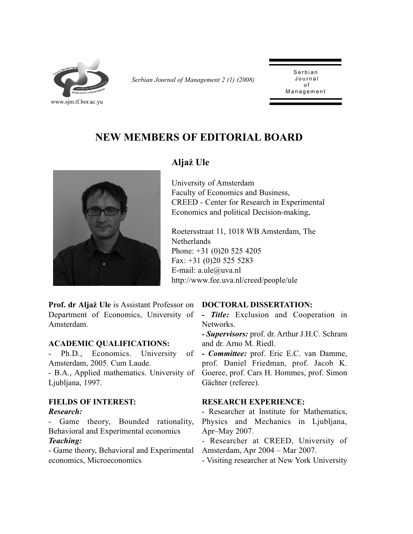

*Serbian Journal of Management 2 (1) (2008)* 

Serbian<br>Journal  $\Omega$ Management Management

# **NEW MEMBERS OF EDITORIAL BOARD**



# **Alja` Ule**

University of Amsterdam Faculty of Economics and Business, CREED - Center for Research in Experimental Economics and political Decision-making,

Roetersstraat 11, 1018 WB Amsterdam, The Netherlands Phone: +31 (0)20 525 4205 Fax: +31 (0)20 525 5283 E-mail: a.ule@uva.nl http://www.fee.uva.nl/creed/people/ule

Prof. dr Aljaž Ule is Assistant Professor on DOCTORAL DISSERTATION: Department of Economics, University of *- Title:* Exclusion and Cooperation in Amsterdam.

#### **ACADEMIC QUALIFICATIONS:**

- Ph.D., Economics. University of Amsterdam, 2005. Cum Laude.

- B.A., Applied mathematics. University of Ljubljana, 1997.

### **FIELDS OF INTEREST:**

#### *Research:*

- Game theory, Bounded rationality, Behavioral and Experimental economics

# *Teaching:*

- Game theory, Behavioral and Experimental economics, Microeconomics

Networks.

*- Supervisors:* prof. dr. Arthur J.H.C. Schram and dr. Arno M. Riedl.

*- Committee:* prof. Eric E.C. van Damme, prof. Daniel Friedman, prof. Jacob K. Goeree, prof. Cars H. Hommes, prof. Simon Gächter (referee).

#### **RESEARCH EXPERIENCE:**

- Researcher at Institute for Mathematics, Physics and Mechanics in Ljubljana, Apr–May 2007.

- Researcher at CREED, University of Amsterdam, Apr 2004 – Mar 2007.

- Visiting researcher at New York University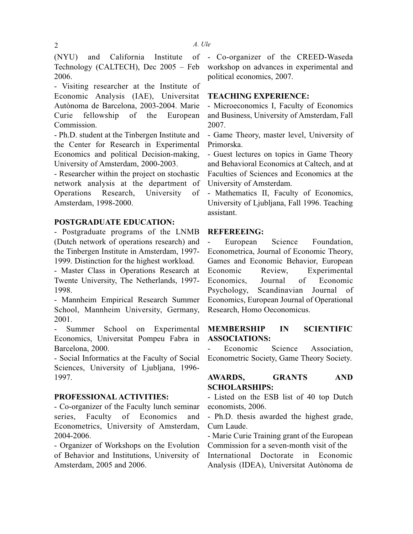(NYU) and California Institute of Technology (CALTECH), Dec 2005 – Feb 2006.

- Visiting researcher at the Institute of Economic Analysis (IAE), Universitat Autònoma de Barcelona, 2003-2004. Marie Curie fellowship of the European Commission.

- Ph.D. student at the Tinbergen Institute and the Center for Research in Experimental Economics and political Decision-making, University of Amsterdam, 2000-2003.

- Researcher within the project on stochastic network analysis at the department of Operations Research, University of Amsterdam, 1998-2000.

#### **POSTGRADUATE EDUCATION:**

- Postgraduate programs of the LNMB (Dutch network of operations research) and the Tinbergen Institute in Amsterdam, 1997- 1999. Distinction for the highest workload.

- Master Class in Operations Research at Twente University, The Netherlands, 1997- 1998.

- Mannheim Empirical Research Summer School, Mannheim University, Germany, 2001.

- Summer School on Experimental Economics, Universitat Pompeu Fabra in Barcelona, 2000.

- Social Informatics at the Faculty of Social Sciences, University of Ljubljana, 1996- 1997.

#### **PROFESSIONAL ACTIVITIES:**

- Co-organizer of the Faculty lunch seminar series, Faculty of Economics and Econometrics, University of Amsterdam, 2004-2006.

- Organizer of Workshops on the Evolution of Behavior and Institutions, University of Amsterdam, 2005 and 2006.

- Co-organizer of the CREED-Waseda workshop on advances in experimental and political economics, 2007.

#### **TEACHING EXPERIENCE:**

- Microeconomics I, Faculty of Economics and Business, University of Amsterdam, Fall 2007.

- Game Theory, master level, University of Primorska.

- Guest lectures on topics in Game Theory and Behavioral Economics at Caltech, and at Faculties of Sciences and Economics at the University of Amsterdam.

- Mathematics II, Faculty of Economics, University of Ljubljana, Fall 1996. Teaching assistant.

#### **REFEREEING:**

European Science Foundation, Econometrica, Journal of Economic Theory, Games and Economic Behavior, European Economic Review, Experimental Economics, Journal of Economic Psychology, Scandinavian Journal of Economics, European Journal of Operational Research, Homo Oeconomicus.

#### **MEMBERSHIP IN SCIENTIFIC ASSOCIATIONS:**

Economic Science Association, Econometric Society, Game Theory Society.

# **AWARDS, GRANTS AND SCHOLARSHIPS:**

- Listed on the ESB list of 40 top Dutch economists, 2006.

- Ph.D. thesis awarded the highest grade, Cum Laude.

- Marie Curie Training grant of the European Commission for a seven-month visit of the International Doctorate in Economic Analysis (IDEA), Universitat Autònoma de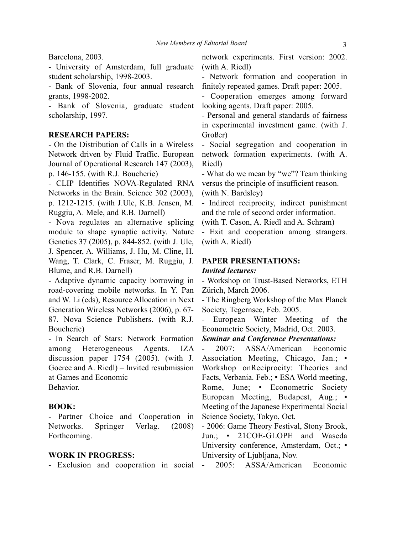#### Barcelona, 2003.

- University of Amsterdam, full graduate student scholarship, 1998-2003.

- Bank of Slovenia, four annual research grants, 1998-2002.

- Bank of Slovenia, graduate student scholarship, 1997.

#### **RESEARCH PAPERS:**

- On the Distribution of Calls in a Wireless Network driven by Fluid Traffic. European Journal of Operational Research 147 (2003), p. 146-155. (with R.J. Boucherie)

- CLIP Identifies NOVA-Regulated RNA Networks in the Brain. Science 302 (2003), p. 1212-1215. (with J.Ule, K.B. Jensen, M. Ruggiu, A. Mele, and R.B. Darnell)

- Nova regulates an alternative splicing module to shape synaptic activity. Nature Genetics 37 (2005), p. 844-852. (with J. Ule, J. Spencer, A. Williams, J. Hu, M. Cline, H. Wang, T. Clark, C. Fraser, M. Ruggiu, J. Blume, and R.B. Darnell)

- Adaptive dynamic capacity borrowing in road-covering mobile networks. In Y. Pan and W. Li (eds), Resource Allocation in Next Generation Wireless Networks (2006), p. 67- 87. Nova Science Publishers. (with R.J. Boucherie)

- In Search of Stars: Network Formation among Heterogeneous Agents. IZA discussion paper 1754 (2005). (with J. Goeree and A. Riedl) – Invited resubmission at Games and Economic Behavior.

#### **BOOK:**

- Partner Choice and Cooperation in Networks. Springer Verlag. (2008) Forthcoming.

#### **WORK IN PROGRESS:**

- Exclusion and cooperation in social

network experiments. First version: 2002. (with A. Riedl)

- Network formation and cooperation in finitely repeated games. Draft paper: 2005.

- Cooperation emerges among forward looking agents. Draft paper: 2005.

- Personal and general standards of fairness in experimental investment game. (with J. Großer)

- Social segregation and cooperation in network formation experiments. (with A. Riedl)

- What do we mean by "we"? Team thinking versus the principle of insufficient reason. (with N. Bardsley)

- Indirect reciprocity, indirect punishment and the role of second order information.

(with T. Cason, A. Riedl and A. Schram)

- Exit and cooperation among strangers. (with A. Riedl)

#### **PAPER PRESENTATIONS:**

#### *Invited lectures:*

- Workshop on Trust-Based Networks, ETH Zürich, March 2006.

- The Ringberg Workshop of the Max Planck Society, Tegernsee, Feb. 2005.

- European Winter Meeting of the Econometric Society, Madrid, Oct. 2003.

*Seminar and Conference Presentations:*

- 2007: ASSA/American Economic Association Meeting, Chicago, Jan.; • Workshop onReciprocity: Theories and Facts, Verbania. Feb.; ▪ ESA World meeting, Rome, June; • Econometric Society European Meeting, Budapest, Aug.; • Meeting of the Japanese Experimental Social Science Society, Tokyo, Oct.

- 2006: Game Theory Festival, Stony Brook, Jun.; • 21COE-GLOPE and Waseda University conference, Amsterdam, Oct.; • University of Ljubljana, Nov.

2005: ASSA/American Economic